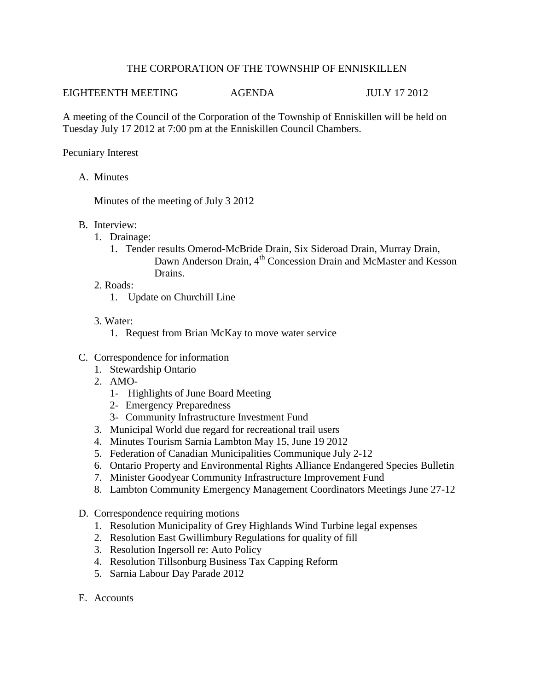## THE CORPORATION OF THE TOWNSHIP OF ENNISKILLEN

## EIGHTEENTH MEETING AGENDA JULY 17 2012

A meeting of the Council of the Corporation of the Township of Enniskillen will be held on Tuesday July 17 2012 at 7:00 pm at the Enniskillen Council Chambers.

## Pecuniary Interest

A. Minutes

Minutes of the meeting of July 3 2012

- B. Interview:
	- 1. Drainage:
		- 1. Tender results Omerod-McBride Drain, Six Sideroad Drain, Murray Drain, Dawn Anderson Drain, 4<sup>th</sup> Concession Drain and McMaster and Kesson Drains.
	- 2. Roads:
		- 1. Update on Churchill Line
	- 3. Water:
		- 1. Request from Brian McKay to move water service
- C. Correspondence for information
	- 1. Stewardship Ontario
	- 2. AMO-
		- 1- Highlights of June Board Meeting
		- 2- Emergency Preparedness
		- 3- Community Infrastructure Investment Fund
	- 3. Municipal World due regard for recreational trail users
	- 4. Minutes Tourism Sarnia Lambton May 15, June 19 2012
	- 5. Federation of Canadian Municipalities Communique July 2-12
	- 6. Ontario Property and Environmental Rights Alliance Endangered Species Bulletin
	- 7. Minister Goodyear Community Infrastructure Improvement Fund
	- 8. Lambton Community Emergency Management Coordinators Meetings June 27-12
- D. Correspondence requiring motions
	- 1. Resolution Municipality of Grey Highlands Wind Turbine legal expenses
	- 2. Resolution East Gwillimbury Regulations for quality of fill
	- 3. Resolution Ingersoll re: Auto Policy
	- 4. Resolution Tillsonburg Business Tax Capping Reform
	- 5. Sarnia Labour Day Parade 2012
- E. Accounts